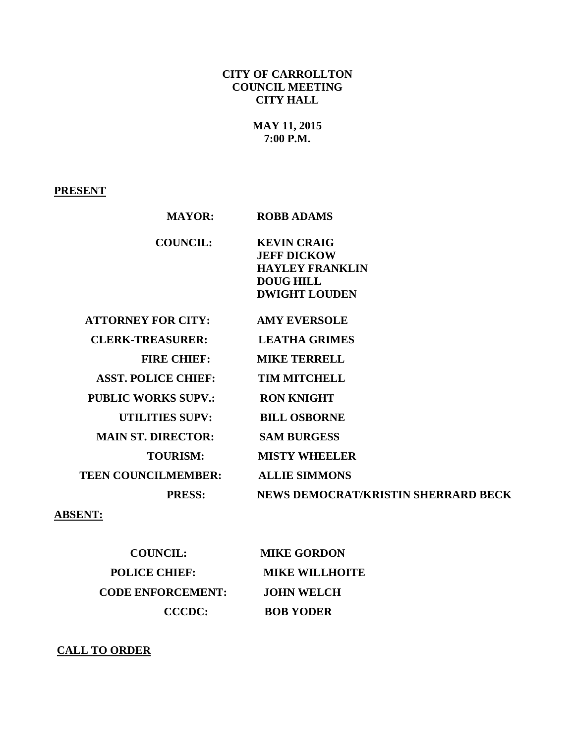# **CITY OF CARROLLTON COUNCIL MEETING CITY HALL**

# **MAY 11, 2015 7:00 P.M.**

# **PRESENT**

| <b>MAYOR:</b>              | <b>ROBB ADAMS</b>                                                                                              |
|----------------------------|----------------------------------------------------------------------------------------------------------------|
| <b>COUNCIL:</b>            | <b>KEVIN CRAIG</b><br><b>JEFF DICKOW</b><br><b>HAYLEY FRANKLIN</b><br><b>DOUG HILL</b><br><b>DWIGHT LOUDEN</b> |
| <b>ATTORNEY FOR CITY:</b>  | <b>AMY EVERSOLE</b>                                                                                            |
| <b>CLERK-TREASURER:</b>    | <b>LEATHA GRIMES</b>                                                                                           |
| <b>FIRE CHIEF:</b>         | <b>MIKE TERRELL</b>                                                                                            |
| <b>ASST. POLICE CHIEF:</b> | <b>TIM MITCHELL</b>                                                                                            |
| <b>PUBLIC WORKS SUPV.:</b> | <b>RON KNIGHT</b>                                                                                              |
| <b>UTILITIES SUPV:</b>     | <b>BILL OSBORNE</b>                                                                                            |
| <b>MAIN ST. DIRECTOR:</b>  | <b>SAM BURGESS</b>                                                                                             |
| <b>TOURISM:</b>            | <b>MISTY WHEELER</b>                                                                                           |
| <b>TEEN COUNCILMEMBER:</b> | <b>ALLIE SIMMONS</b>                                                                                           |
| <b>PRESS:</b>              | <b>NEWS DEMOCRAT/KRISTIN SHERRARD BECK</b>                                                                     |

# **ABSENT:**

| <b>COUNCIL:</b>          | <b>MIKE GORDON</b>    |
|--------------------------|-----------------------|
| <b>POLICE CHIEF:</b>     | <b>MIKE WILLHOITE</b> |
| <b>CODE ENFORCEMENT:</b> | <b>JOHN WELCH</b>     |
| CCCDC:                   | <b>BOB YODER</b>      |

# **CALL TO ORDER**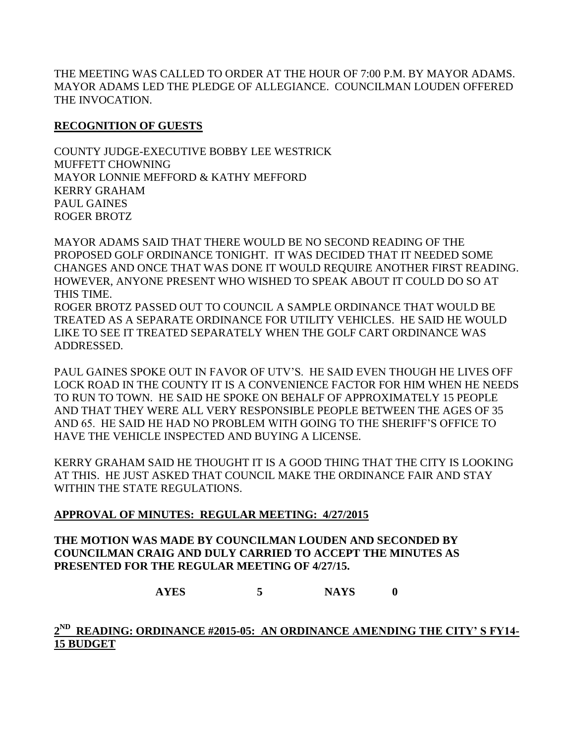THE MEETING WAS CALLED TO ORDER AT THE HOUR OF 7:00 P.M. BY MAYOR ADAMS. MAYOR ADAMS LED THE PLEDGE OF ALLEGIANCE. COUNCILMAN LOUDEN OFFERED THE INVOCATION.

### **RECOGNITION OF GUESTS**

COUNTY JUDGE-EXECUTIVE BOBBY LEE WESTRICK MUFFETT CHOWNING MAYOR LONNIE MEFFORD & KATHY MEFFORD KERRY GRAHAM PAUL GAINES ROGER BROTZ

MAYOR ADAMS SAID THAT THERE WOULD BE NO SECOND READING OF THE PROPOSED GOLF ORDINANCE TONIGHT. IT WAS DECIDED THAT IT NEEDED SOME CHANGES AND ONCE THAT WAS DONE IT WOULD REQUIRE ANOTHER FIRST READING. HOWEVER, ANYONE PRESENT WHO WISHED TO SPEAK ABOUT IT COULD DO SO AT THIS TIME.

ROGER BROTZ PASSED OUT TO COUNCIL A SAMPLE ORDINANCE THAT WOULD BE TREATED AS A SEPARATE ORDINANCE FOR UTILITY VEHICLES. HE SAID HE WOULD LIKE TO SEE IT TREATED SEPARATELY WHEN THE GOLF CART ORDINANCE WAS ADDRESSED.

PAUL GAINES SPOKE OUT IN FAVOR OF UTV'S. HE SAID EVEN THOUGH HE LIVES OFF LOCK ROAD IN THE COUNTY IT IS A CONVENIENCE FACTOR FOR HIM WHEN HE NEEDS TO RUN TO TOWN. HE SAID HE SPOKE ON BEHALF OF APPROXIMATELY 15 PEOPLE AND THAT THEY WERE ALL VERY RESPONSIBLE PEOPLE BETWEEN THE AGES OF 35 AND 65. HE SAID HE HAD NO PROBLEM WITH GOING TO THE SHERIFF'S OFFICE TO HAVE THE VEHICLE INSPECTED AND BUYING A LICENSE.

KERRY GRAHAM SAID HE THOUGHT IT IS A GOOD THING THAT THE CITY IS LOOKING AT THIS. HE JUST ASKED THAT COUNCIL MAKE THE ORDINANCE FAIR AND STAY WITHIN THE STATE REGULATIONS.

## **APPROVAL OF MINUTES: REGULAR MEETING: 4/27/2015**

**THE MOTION WAS MADE BY COUNCILMAN LOUDEN AND SECONDED BY COUNCILMAN CRAIG AND DULY CARRIED TO ACCEPT THE MINUTES AS PRESENTED FOR THE REGULAR MEETING OF 4/27/15.**

**AYES 5 NAYS 0**

# **2 ND READING: ORDINANCE #2015-05: AN ORDINANCE AMENDING THE CITY' S FY14- 15 BUDGET**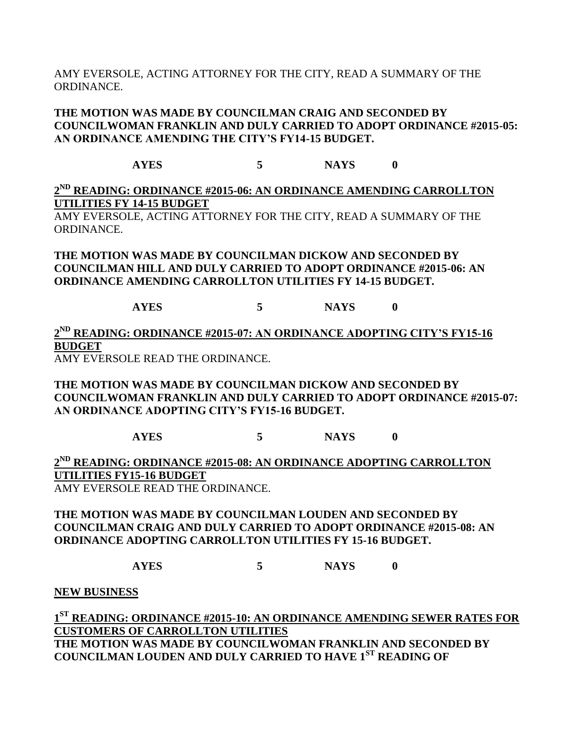AMY EVERSOLE, ACTING ATTORNEY FOR THE CITY, READ A SUMMARY OF THE ORDINANCE.

### **THE MOTION WAS MADE BY COUNCILMAN CRAIG AND SECONDED BY COUNCILWOMAN FRANKLIN AND DULY CARRIED TO ADOPT ORDINANCE #2015-05: AN ORDINANCE AMENDING THE CITY'S FY14-15 BUDGET.**

**AYES 5 NAYS 0**

# **2 ND READING: ORDINANCE #2015-06: AN ORDINANCE AMENDING CARROLLTON UTILITIES FY 14-15 BUDGET**

AMY EVERSOLE, ACTING ATTORNEY FOR THE CITY, READ A SUMMARY OF THE ORDINANCE.

**THE MOTION WAS MADE BY COUNCILMAN DICKOW AND SECONDED BY COUNCILMAN HILL AND DULY CARRIED TO ADOPT ORDINANCE #2015-06: AN ORDINANCE AMENDING CARROLLTON UTILITIES FY 14-15 BUDGET.**

**AYES 5 NAYS 0**

**2 ND READING: ORDINANCE #2015-07: AN ORDINANCE ADOPTING CITY'S FY15-16 BUDGET**

AMY EVERSOLE READ THE ORDINANCE.

**THE MOTION WAS MADE BY COUNCILMAN DICKOW AND SECONDED BY COUNCILWOMAN FRANKLIN AND DULY CARRIED TO ADOPT ORDINANCE #2015-07: AN ORDINANCE ADOPTING CITY'S FY15-16 BUDGET.**

**AYES 5 NAYS 0**

**2 ND READING: ORDINANCE #2015-08: AN ORDINANCE ADOPTING CARROLLTON UTILITIES FY15-16 BUDGET**

AMY EVERSOLE READ THE ORDINANCE.

**THE MOTION WAS MADE BY COUNCILMAN LOUDEN AND SECONDED BY COUNCILMAN CRAIG AND DULY CARRIED TO ADOPT ORDINANCE #2015-08: AN ORDINANCE ADOPTING CARROLLTON UTILITIES FY 15-16 BUDGET.**

**AYES 5 NAYS 0**

**NEW BUSINESS**

**1 ST READING: ORDINANCE #2015-10: AN ORDINANCE AMENDING SEWER RATES FOR CUSTOMERS OF CARROLLTON UTILITIES THE MOTION WAS MADE BY COUNCILWOMAN FRANKLIN AND SECONDED BY COUNCILMAN LOUDEN AND DULY CARRIED TO HAVE 1ST READING OF**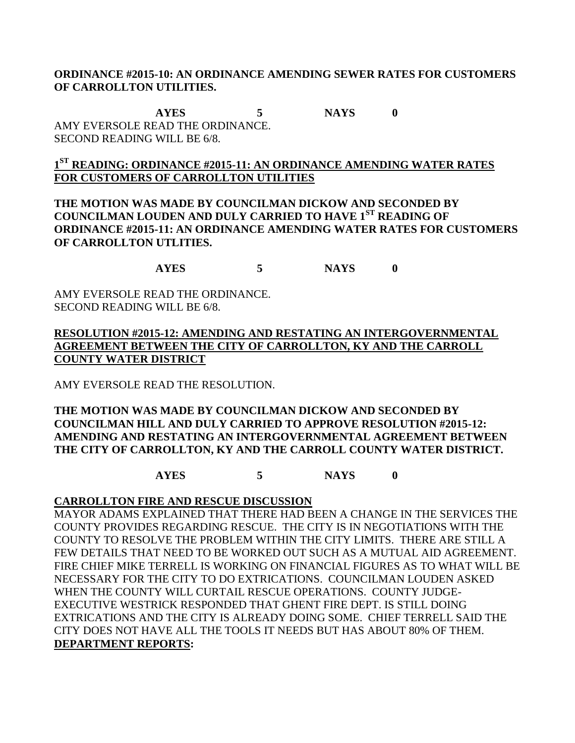#### **ORDINANCE #2015-10: AN ORDINANCE AMENDING SEWER RATES FOR CUSTOMERS OF CARROLLTON UTILITIES.**

**AYES 5 NAYS 0** AMY EVERSOLE READ THE ORDINANCE. SECOND READING WILL BE 6/8.

# **1 ST READING: ORDINANCE #2015-11: AN ORDINANCE AMENDING WATER RATES FOR CUSTOMERS OF CARROLLTON UTILITIES**

**THE MOTION WAS MADE BY COUNCILMAN DICKOW AND SECONDED BY COUNCILMAN LOUDEN AND DULY CARRIED TO HAVE 1ST READING OF ORDINANCE #2015-11: AN ORDINANCE AMENDING WATER RATES FOR CUSTOMERS OF CARROLLTON UTLITIES.**

**AYES 5 NAYS 0**

AMY EVERSOLE READ THE ORDINANCE. SECOND READING WILL BE 6/8.

**RESOLUTION #2015-12: AMENDING AND RESTATING AN INTERGOVERNMENTAL AGREEMENT BETWEEN THE CITY OF CARROLLTON, KY AND THE CARROLL COUNTY WATER DISTRICT**

AMY EVERSOLE READ THE RESOLUTION.

#### **THE MOTION WAS MADE BY COUNCILMAN DICKOW AND SECONDED BY COUNCILMAN HILL AND DULY CARRIED TO APPROVE RESOLUTION #2015-12: AMENDING AND RESTATING AN INTERGOVERNMENTAL AGREEMENT BETWEEN THE CITY OF CARROLLTON, KY AND THE CARROLL COUNTY WATER DISTRICT.**

**AYES 5 NAYS 0** 

## **CARROLLTON FIRE AND RESCUE DISCUSSION**

MAYOR ADAMS EXPLAINED THAT THERE HAD BEEN A CHANGE IN THE SERVICES THE COUNTY PROVIDES REGARDING RESCUE. THE CITY IS IN NEGOTIATIONS WITH THE COUNTY TO RESOLVE THE PROBLEM WITHIN THE CITY LIMITS. THERE ARE STILL A FEW DETAILS THAT NEED TO BE WORKED OUT SUCH AS A MUTUAL AID AGREEMENT. FIRE CHIEF MIKE TERRELL IS WORKING ON FINANCIAL FIGURES AS TO WHAT WILL BE NECESSARY FOR THE CITY TO DO EXTRICATIONS. COUNCILMAN LOUDEN ASKED WHEN THE COUNTY WILL CURTAIL RESCUE OPERATIONS. COUNTY JUDGE-EXECUTIVE WESTRICK RESPONDED THAT GHENT FIRE DEPT. IS STILL DOING EXTRICATIONS AND THE CITY IS ALREADY DOING SOME. CHIEF TERRELL SAID THE CITY DOES NOT HAVE ALL THE TOOLS IT NEEDS BUT HAS ABOUT 80% OF THEM. **DEPARTMENT REPORTS:**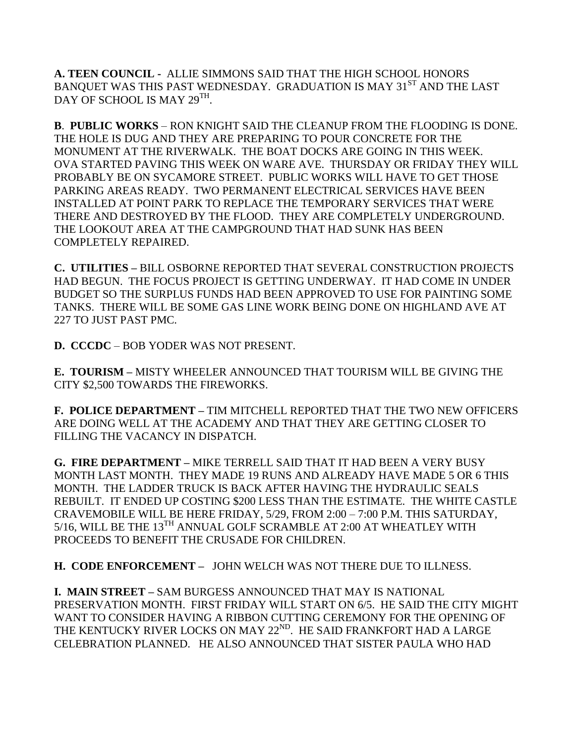**A. TEEN COUNCIL -** ALLIE SIMMONS SAID THAT THE HIGH SCHOOL HONORS BANQUET WAS THIS PAST WEDNESDAY. GRADUATION IS MAY 31<sup>ST</sup> AND THE LAST DAY OF SCHOOL IS MAY 29TH.

**B**. **PUBLIC WORKS** – RON KNIGHT SAID THE CLEANUP FROM THE FLOODING IS DONE. THE HOLE IS DUG AND THEY ARE PREPARING TO POUR CONCRETE FOR THE MONUMENT AT THE RIVERWALK. THE BOAT DOCKS ARE GOING IN THIS WEEK. OVA STARTED PAVING THIS WEEK ON WARE AVE. THURSDAY OR FRIDAY THEY WILL PROBABLY BE ON SYCAMORE STREET. PUBLIC WORKS WILL HAVE TO GET THOSE PARKING AREAS READY. TWO PERMANENT ELECTRICAL SERVICES HAVE BEEN INSTALLED AT POINT PARK TO REPLACE THE TEMPORARY SERVICES THAT WERE THERE AND DESTROYED BY THE FLOOD. THEY ARE COMPLETELY UNDERGROUND. THE LOOKOUT AREA AT THE CAMPGROUND THAT HAD SUNK HAS BEEN COMPLETELY REPAIRED.

**C. UTILITIES –** BILL OSBORNE REPORTED THAT SEVERAL CONSTRUCTION PROJECTS HAD BEGUN. THE FOCUS PROJECT IS GETTING UNDERWAY. IT HAD COME IN UNDER BUDGET SO THE SURPLUS FUNDS HAD BEEN APPROVED TO USE FOR PAINTING SOME TANKS. THERE WILL BE SOME GAS LINE WORK BEING DONE ON HIGHLAND AVE AT 227 TO JUST PAST PMC.

**D. CCCDC** – BOB YODER WAS NOT PRESENT.

**E. TOURISM –** MISTY WHEELER ANNOUNCED THAT TOURISM WILL BE GIVING THE CITY \$2,500 TOWARDS THE FIREWORKS.

**F. POLICE DEPARTMENT –** TIM MITCHELL REPORTED THAT THE TWO NEW OFFICERS ARE DOING WELL AT THE ACADEMY AND THAT THEY ARE GETTING CLOSER TO FILLING THE VACANCY IN DISPATCH.

**G. FIRE DEPARTMENT –** MIKE TERRELL SAID THAT IT HAD BEEN A VERY BUSY MONTH LAST MONTH. THEY MADE 19 RUNS AND ALREADY HAVE MADE 5 OR 6 THIS MONTH. THE LADDER TRUCK IS BACK AFTER HAVING THE HYDRAULIC SEALS REBUILT. IT ENDED UP COSTING \$200 LESS THAN THE ESTIMATE. THE WHITE CASTLE CRAVEMOBILE WILL BE HERE FRIDAY, 5/29, FROM 2:00 – 7:00 P.M. THIS SATURDAY, 5/16, WILL BE THE 13<sup>TH</sup> ANNUAL GOLF SCRAMBLE AT 2:00 AT WHEATLEY WITH PROCEEDS TO BENEFIT THE CRUSADE FOR CHILDREN.

**H. CODE ENFORCEMENT –** JOHN WELCH WAS NOT THERE DUE TO ILLNESS.

**I. MAIN STREET –** SAM BURGESS ANNOUNCED THAT MAY IS NATIONAL PRESERVATION MONTH. FIRST FRIDAY WILL START ON 6/5. HE SAID THE CITY MIGHT WANT TO CONSIDER HAVING A RIBBON CUTTING CEREMONY FOR THE OPENING OF THE KENTUCKY RIVER LOCKS ON MAY 22<sup>ND</sup>. HE SAID FRANKFORT HAD A LARGE CELEBRATION PLANNED. HE ALSO ANNOUNCED THAT SISTER PAULA WHO HAD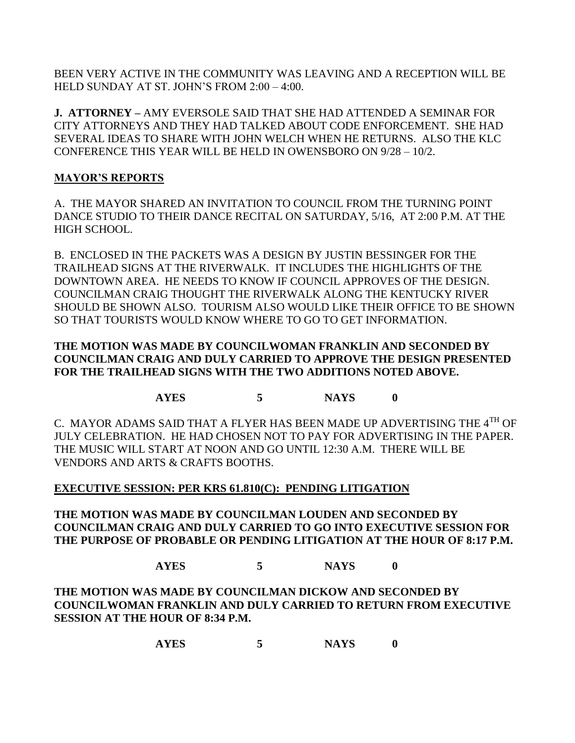BEEN VERY ACTIVE IN THE COMMUNITY WAS LEAVING AND A RECEPTION WILL BE HELD SUNDAY AT ST. JOHN'S FROM 2:00 – 4:00.

**J. ATTORNEY –** AMY EVERSOLE SAID THAT SHE HAD ATTENDED A SEMINAR FOR CITY ATTORNEYS AND THEY HAD TALKED ABOUT CODE ENFORCEMENT. SHE HAD SEVERAL IDEAS TO SHARE WITH JOHN WELCH WHEN HE RETURNS. ALSO THE KLC CONFERENCE THIS YEAR WILL BE HELD IN OWENSBORO ON 9/28 – 10/2.

# **MAYOR'S REPORTS**

A. THE MAYOR SHARED AN INVITATION TO COUNCIL FROM THE TURNING POINT DANCE STUDIO TO THEIR DANCE RECITAL ON SATURDAY, 5/16, AT 2:00 P.M. AT THE HIGH SCHOOL.

B. ENCLOSED IN THE PACKETS WAS A DESIGN BY JUSTIN BESSINGER FOR THE TRAILHEAD SIGNS AT THE RIVERWALK. IT INCLUDES THE HIGHLIGHTS OF THE DOWNTOWN AREA. HE NEEDS TO KNOW IF COUNCIL APPROVES OF THE DESIGN. COUNCILMAN CRAIG THOUGHT THE RIVERWALK ALONG THE KENTUCKY RIVER SHOULD BE SHOWN ALSO. TOURISM ALSO WOULD LIKE THEIR OFFICE TO BE SHOWN SO THAT TOURISTS WOULD KNOW WHERE TO GO TO GET INFORMATION.

## **THE MOTION WAS MADE BY COUNCILWOMAN FRANKLIN AND SECONDED BY COUNCILMAN CRAIG AND DULY CARRIED TO APPROVE THE DESIGN PRESENTED FOR THE TRAILHEAD SIGNS WITH THE TWO ADDITIONS NOTED ABOVE.**

**AYES 5 NAYS 0**

C. MAYOR ADAMS SAID THAT A FLYER HAS BEEN MADE UP ADVERTISING THE  $4^{TH}$  OF JULY CELEBRATION. HE HAD CHOSEN NOT TO PAY FOR ADVERTISING IN THE PAPER. THE MUSIC WILL START AT NOON AND GO UNTIL 12:30 A.M. THERE WILL BE VENDORS AND ARTS & CRAFTS BOOTHS.

## **EXECUTIVE SESSION: PER KRS 61.810(C): PENDING LITIGATION**

**THE MOTION WAS MADE BY COUNCILMAN LOUDEN AND SECONDED BY COUNCILMAN CRAIG AND DULY CARRIED TO GO INTO EXECUTIVE SESSION FOR THE PURPOSE OF PROBABLE OR PENDING LITIGATION AT THE HOUR OF 8:17 P.M.**

**AYES 5 NAYS 0**

**THE MOTION WAS MADE BY COUNCILMAN DICKOW AND SECONDED BY COUNCILWOMAN FRANKLIN AND DULY CARRIED TO RETURN FROM EXECUTIVE SESSION AT THE HOUR OF 8:34 P.M.**

**AYES 5 NAYS 0**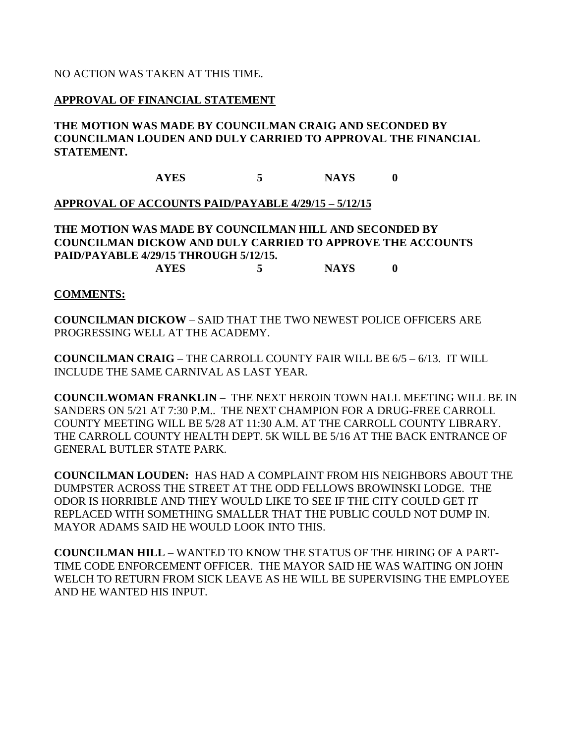#### NO ACTION WAS TAKEN AT THIS TIME.

#### **APPROVAL OF FINANCIAL STATEMENT**

### **THE MOTION WAS MADE BY COUNCILMAN CRAIG AND SECONDED BY COUNCILMAN LOUDEN AND DULY CARRIED TO APPROVAL THE FINANCIAL STATEMENT.**

**AYES 5 NAYS 0**

#### **APPROVAL OF ACCOUNTS PAID/PAYABLE 4/29/15 – 5/12/15**

**THE MOTION WAS MADE BY COUNCILMAN HILL AND SECONDED BY COUNCILMAN DICKOW AND DULY CARRIED TO APPROVE THE ACCOUNTS PAID/PAYABLE 4/29/15 THROUGH 5/12/15. AYES 5 NAYS 0**

#### **COMMENTS:**

**COUNCILMAN DICKOW** – SAID THAT THE TWO NEWEST POLICE OFFICERS ARE PROGRESSING WELL AT THE ACADEMY.

**COUNCILMAN CRAIG** – THE CARROLL COUNTY FAIR WILL BE 6/5 – 6/13. IT WILL INCLUDE THE SAME CARNIVAL AS LAST YEAR.

**COUNCILWOMAN FRANKLIN** – THE NEXT HEROIN TOWN HALL MEETING WILL BE IN SANDERS ON 5/21 AT 7:30 P.M.. THE NEXT CHAMPION FOR A DRUG-FREE CARROLL COUNTY MEETING WILL BE 5/28 AT 11:30 A.M. AT THE CARROLL COUNTY LIBRARY. THE CARROLL COUNTY HEALTH DEPT. 5K WILL BE 5/16 AT THE BACK ENTRANCE OF GENERAL BUTLER STATE PARK.

**COUNCILMAN LOUDEN:** HAS HAD A COMPLAINT FROM HIS NEIGHBORS ABOUT THE DUMPSTER ACROSS THE STREET AT THE ODD FELLOWS BROWINSKI LODGE. THE ODOR IS HORRIBLE AND THEY WOULD LIKE TO SEE IF THE CITY COULD GET IT REPLACED WITH SOMETHING SMALLER THAT THE PUBLIC COULD NOT DUMP IN. MAYOR ADAMS SAID HE WOULD LOOK INTO THIS.

**COUNCILMAN HILL** – WANTED TO KNOW THE STATUS OF THE HIRING OF A PART-TIME CODE ENFORCEMENT OFFICER. THE MAYOR SAID HE WAS WAITING ON JOHN WELCH TO RETURN FROM SICK LEAVE AS HE WILL BE SUPERVISING THE EMPLOYEE AND HE WANTED HIS INPUT.